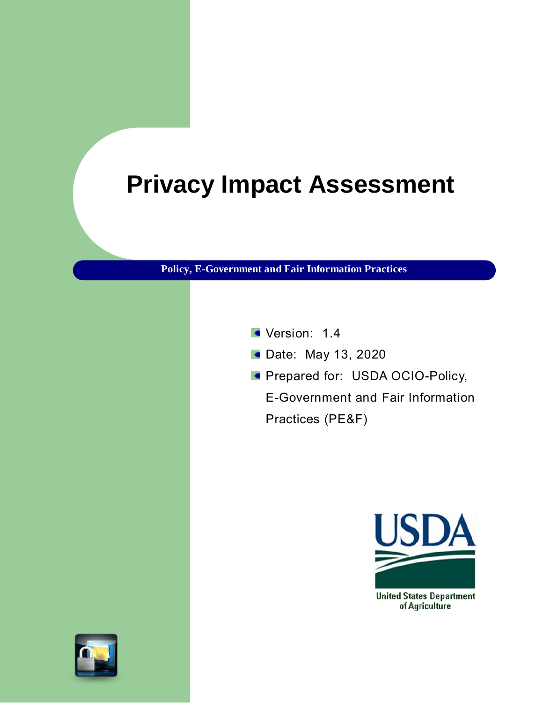# **Privacy Impact Assessment**

**Policy, E-Government and Fair Information Practices**

- Version: 1.4
- **Date: May 13, 2020**
- **Prepared for: USDA OCIO-Policy,**

E-Government and Fair Information Practices (PE&F)



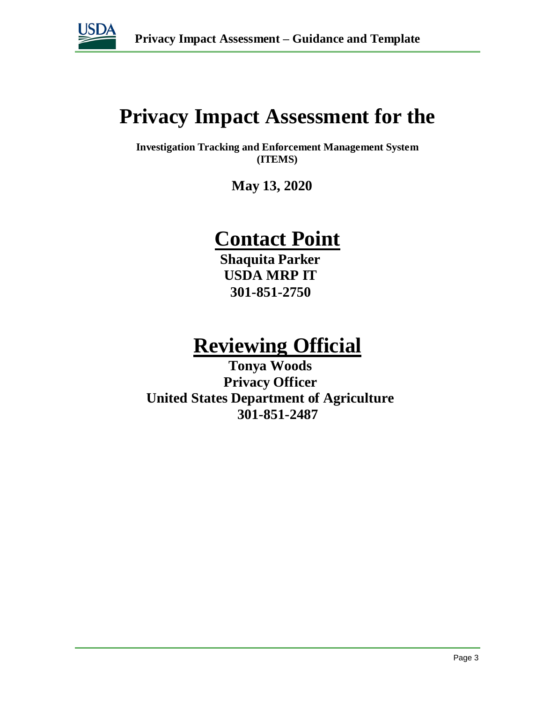

## **Privacy Impact Assessment for the**

**Investigation Tracking and Enforcement Management System (ITEMS)**

**May 13, 2020**

## **Contact Point**

**Shaquita Parker USDA MRP IT 301-851-2750**

## **Reviewing Official**

**Tonya Woods Privacy Officer United States Department of Agriculture 301-851-2487**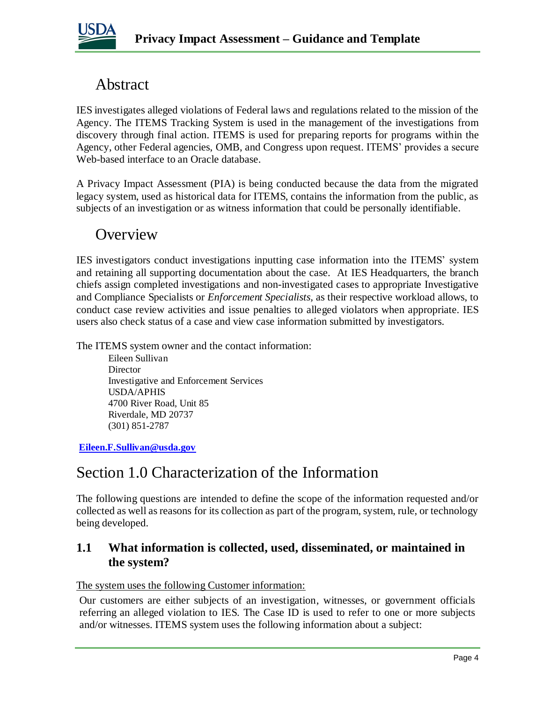

### Abstract

IES investigates alleged violations of Federal laws and regulations related to the mission of the Agency. The ITEMS Tracking System is used in the management of the investigations from discovery through final action. ITEMS is used for preparing reports for programs within the Agency, other Federal agencies, OMB, and Congress upon request. ITEMS' provides a secure Web-based interface to an Oracle database.

A Privacy Impact Assessment (PIA) is being conducted because the data from the migrated legacy system, used as historical data for ITEMS, contains the information from the public, as subjects of an investigation or as witness information that could be personally identifiable.

### **Overview**

IES investigators conduct investigations inputting case information into the ITEMS' system and retaining all supporting documentation about the case. At IES Headquarters, the branch chiefs assign completed investigations and non-investigated cases to appropriate Investigative and Compliance Specialists or *Enforcement Specialists,* as their respective workload allows, to conduct case review activities and issue penalties to alleged violators when appropriate. IES users also check status of a case and view case information submitted by investigators.

The ITEMS system owner and the contact information:

Eileen Sullivan **Director** Investigative and Enforcement Services USDA/APHIS 4700 River Road, Unit 85 Riverdale, MD 20737 (301) 851-2787

**Eileen.F.Sullivan@usda.gov**

### Section 1.0 Characterization of the Information

The following questions are intended to define the scope of the information requested and/or collected as well as reasons for its collection as part of the program, system, rule, or technology being developed.

### **1.1 What information is collected, used, disseminated, or maintained in the system?**

The system uses the following Customer information:

Our customers are either subjects of an investigation, witnesses, or government officials referring an alleged violation to IES. The Case ID is used to refer to one or more subjects and/or witnesses. ITEMS system uses the following information about a subject: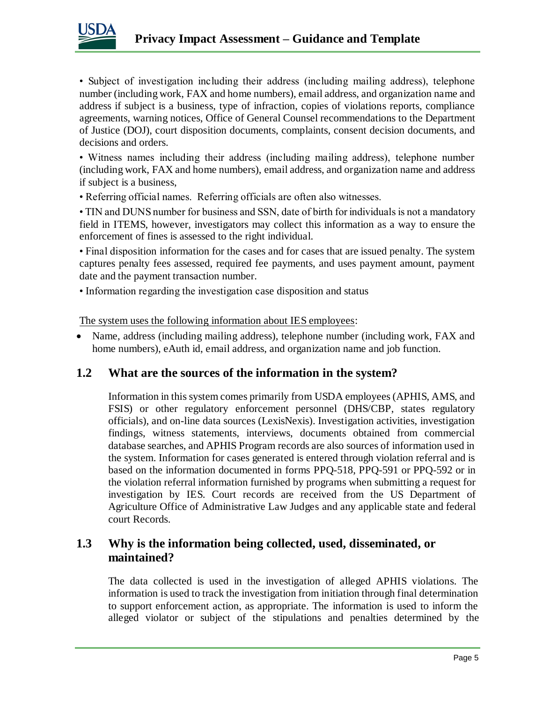

• Subject of investigation including their address (including mailing address), telephone number (including work, FAX and home numbers), email address, and organization name and address if subject is a business, type of infraction, copies of violations reports, compliance agreements, warning notices, Office of General Counsel recommendations to the Department of Justice (DOJ), court disposition documents, complaints, consent decision documents, and decisions and orders.

• Witness names including their address (including mailing address), telephone number (including work, FAX and home numbers), email address, and organization name and address if subject is a business,

• Referring official names. Referring officials are often also witnesses.

• TIN and DUNS number for business and SSN, date of birth for individuals is not a mandatory field in ITEMS, however, investigators may collect this information as a way to ensure the enforcement of fines is assessed to the right individual.

• Final disposition information for the cases and for cases that are issued penalty. The system captures penalty fees assessed, required fee payments, and uses payment amount, payment date and the payment transaction number.

• Information regarding the investigation case disposition and status

The system uses the following information about IES employees:

• Name, address (including mailing address), telephone number (including work, FAX and home numbers), eAuth id, email address, and organization name and job function.

### **1.2 What are the sources of the information in the system?**

Information in this system comes primarily from USDA employees (APHIS, AMS, and FSIS) or other regulatory enforcement personnel (DHS/CBP, states regulatory officials), and on-line data sources (LexisNexis). Investigation activities, investigation findings, witness statements, interviews, documents obtained from commercial database searches, and APHIS Program records are also sources of information used in the system. Information for cases generated is entered through violation referral and is based on the information documented in forms PPQ-518, PPQ-591 or PPQ-592 or in the violation referral information furnished by programs when submitting a request for investigation by IES. Court records are received from the US Department of Agriculture Office of Administrative Law Judges and any applicable state and federal court Records.

### **1.3 Why is the information being collected, used, disseminated, or maintained?**

The data collected is used in the investigation of alleged APHIS violations. The information is used to track the investigation from initiation through final determination to support enforcement action, as appropriate. The information is used to inform the alleged violator or subject of the stipulations and penalties determined by the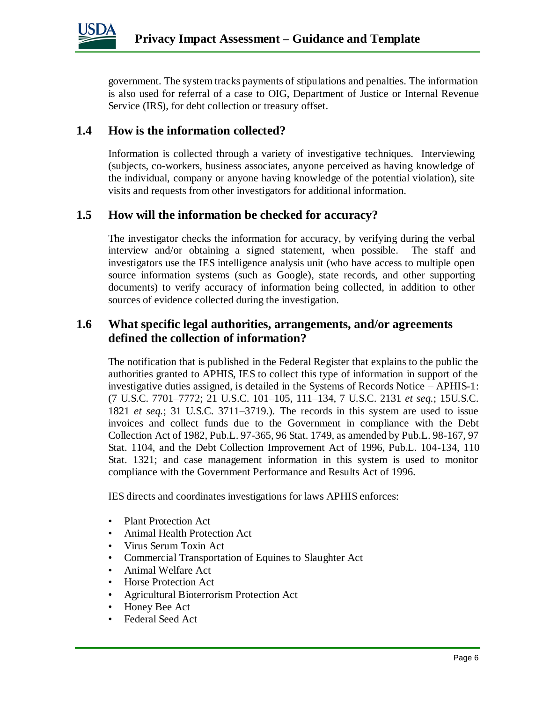

government. The system tracks payments of stipulations and penalties. The information is also used for referral of a case to OIG, Department of Justice or Internal Revenue Service (IRS), for debt collection or treasury offset.

### **1.4 How is the information collected?**

Information is collected through a variety of investigative techniques. Interviewing (subjects, co-workers, business associates, anyone perceived as having knowledge of the individual, company or anyone having knowledge of the potential violation), site visits and requests from other investigators for additional information.

#### **1.5 How will the information be checked for accuracy?**

The investigator checks the information for accuracy, by verifying during the verbal interview and/or obtaining a signed statement, when possible. The staff and investigators use the IES intelligence analysis unit (who have access to multiple open source information systems (such as Google), state records, and other supporting documents) to verify accuracy of information being collected, in addition to other sources of evidence collected during the investigation.

#### **1.6 What specific legal authorities, arrangements, and/or agreements defined the collection of information?**

The notification that is published in the Federal Register that explains to the public the authorities granted to APHIS, IES to collect this type of information in support of the investigative duties assigned, is detailed in the Systems of Records Notice – APHIS-1: (7 U.S.C. 7701–7772; 21 U.S.C. 101–105, 111–134, 7 U.S.C. 2131 *et seq.*; 15U.S.C. 1821 *et seq.*; 31 U.S.C. 3711–3719.). The records in this system are used to issue invoices and collect funds due to the Government in compliance with the Debt Collection Act of 1982, Pub.L. 97-365, 96 Stat. 1749, as amended by Pub.L. 98-167, 97 Stat. 1104, and the Debt Collection Improvement Act of 1996, Pub.L. 104-134, 110 Stat. 1321; and case management information in this system is used to monitor compliance with the Government Performance and Results Act of 1996.

IES directs and coordinates investigations for laws APHIS enforces:

- Plant Protection Act
- Animal Health Protection Act
- Virus Serum Toxin Act
- Commercial Transportation of Equines to Slaughter Act
- Animal Welfare Act
- Horse Protection Act
- Agricultural Bioterrorism Protection Act
- Honey Bee Act
- Federal Seed Act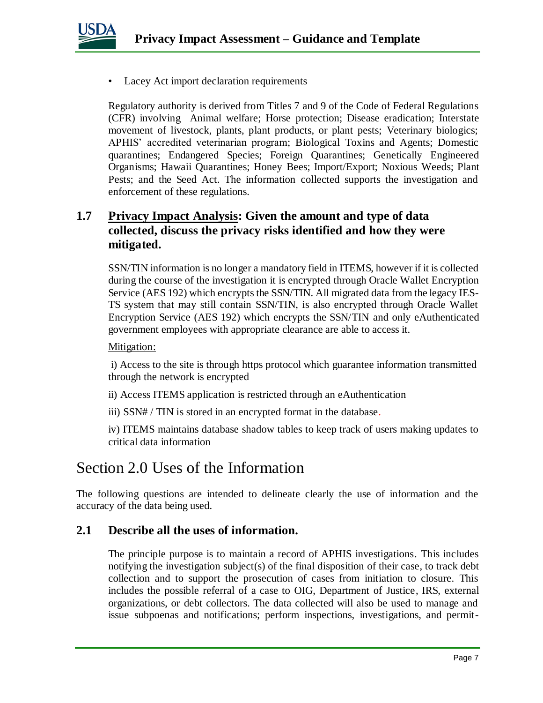

Lacey Act import declaration requirements

Regulatory authority is derived from Titles 7 and 9 of the Code of Federal Regulations (CFR) involving Animal welfare; Horse protection; Disease eradication; Interstate movement of livestock, plants, plant products, or plant pests; Veterinary biologics; APHIS' accredited veterinarian program; Biological Toxins and Agents; Domestic quarantines; Endangered Species; Foreign Quarantines; Genetically Engineered Organisms; Hawaii Quarantines; Honey Bees; Import/Export; Noxious Weeds; Plant Pests; and the Seed Act. The information collected supports the investigation and enforcement of these regulations.

### **1.7 Privacy Impact Analysis: Given the amount and type of data collected, discuss the privacy risks identified and how they were mitigated.**

SSN/TIN information is no longer a mandatory field in ITEMS, however if it is collected during the course of the investigation it is encrypted through Oracle Wallet Encryption Service (AES 192) which encrypts the SSN/TIN. All migrated data from the legacy IES-TS system that may still contain SSN/TIN, is also encrypted through Oracle Wallet Encryption Service (AES 192) which encrypts the SSN/TIN and only eAuthenticated government employees with appropriate clearance are able to access it.

#### Mitigation:

i) Access to the site is through https protocol which guarantee information transmitted through the network is encrypted

- ii) Access ITEMS application is restricted through an eAuthentication
- iii) SSN# / TIN is stored in an encrypted format in the database.

iv) ITEMS maintains database shadow tables to keep track of users making updates to critical data information

### Section 2.0 Uses of the Information

The following questions are intended to delineate clearly the use of information and the accuracy of the data being used.

#### **2.1 Describe all the uses of information.**

The principle purpose is to maintain a record of APHIS investigations. This includes notifying the investigation subject(s) of the final disposition of their case, to track debt collection and to support the prosecution of cases from initiation to closure. This includes the possible referral of a case to OIG, Department of Justice, IRS, external organizations, or debt collectors. The data collected will also be used to manage and issue subpoenas and notifications; perform inspections, investigations, and permit-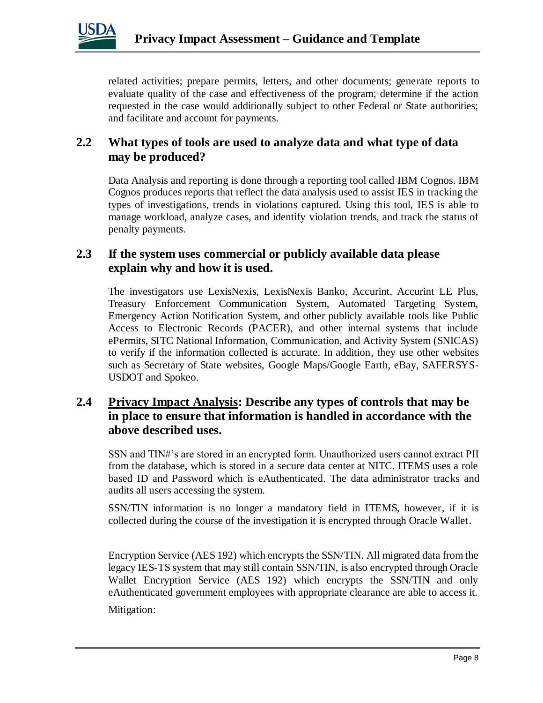

related activities; prepare permits, letters, and other documents; generate reports to evaluate quality of the case and effectiveness of the program; determine if the action requested in the case would additionally subject to other Federal or State authorities; and facilitate and account for payments.

### **2.2 What types of tools are used to analyze data and what type of data may be produced?**

Data Analysis and reporting is done through a reporting tool called IBM Cognos. IBM Cognos produces reports that reflect the data analysis used to assist IES in tracking the types of investigations, trends in violations captured. Using this tool, IES is able to manage workload, analyze cases, and identify violation trends, and track the status of penalty payments.

### **2.3 If the system uses commercial or publicly available data please explain why and how it is used.**

The investigators use LexisNexis, LexisNexis Banko, Accurint, Accurint LE Plus, Treasury Enforcement Communication System, Automated Targeting System, Emergency Action Notification System, and other publicly available tools like Public Access to Electronic Records (PACER), and other internal systems that include ePermits, SITC National Information, Communication, and Activity System (SNICAS) to verify if the information collected is accurate. In addition, they use other websites such as Secretary of State websites, Google Maps/Google Earth, eBay, SAFERSYS-USDOT and Spokeo.

### **2.4 Privacy Impact Analysis: Describe any types of controls that may be in place to ensure that information is handled in accordance with the above described uses.**

SSN and TIN#'s are stored in an encrypted form. Unauthorized users cannot extract PII from the database, which is stored in a secure data center at NITC. ITEMS uses a role based ID and Password which is eAuthenticated. The data administrator tracks and audits all users accessing the system.

SSN/TIN information is no longer a mandatory field in ITEMS, however, if it is collected during the course of the investigation it is encrypted through Oracle Wallet.

Encryption Service (AES 192) which encrypts the SSN/TIN. All migrated data from the legacy IES-TS system that may still contain SSN/TIN, is also encrypted through Oracle Wallet Encryption Service (AES 192) which encrypts the SSN/TIN and only eAuthenticated government employees with appropriate clearance are able to access it. Mitigation: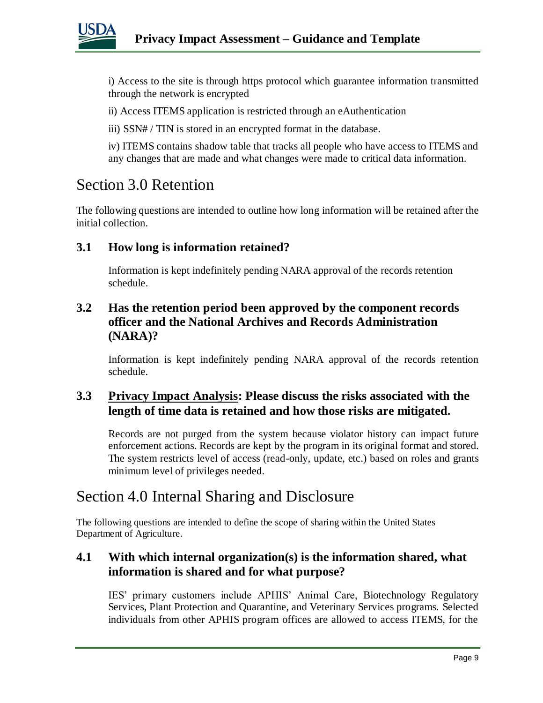

i) Access to the site is through https protocol which guarantee information transmitted through the network is encrypted

ii) Access ITEMS application is restricted through an eAuthentication

iii) SSN# / TIN is stored in an encrypted format in the database.

iv) ITEMS contains shadow table that tracks all people who have access to ITEMS and any changes that are made and what changes were made to critical data information.

### Section 3.0 Retention

The following questions are intended to outline how long information will be retained after the initial collection.

### **3.1 How long is information retained?**

Information is kept indefinitely pending NARA approval of the records retention schedule.

### **3.2 Has the retention period been approved by the component records officer and the National Archives and Records Administration (NARA)?**

Information is kept indefinitely pending NARA approval of the records retention schedule.

### **3.3 Privacy Impact Analysis: Please discuss the risks associated with the length of time data is retained and how those risks are mitigated.**

Records are not purged from the system because violator history can impact future enforcement actions. Records are kept by the program in its original format and stored. The system restricts level of access (read-only, update, etc.) based on roles and grants minimum level of privileges needed.

### Section 4.0 Internal Sharing and Disclosure

The following questions are intended to define the scope of sharing within the United States Department of Agriculture.

### **4.1 With which internal organization(s) is the information shared, what information is shared and for what purpose?**

IES' primary customers include APHIS' Animal Care, Biotechnology Regulatory Services, Plant Protection and Quarantine, and Veterinary Services programs. Selected individuals from other APHIS program offices are allowed to access ITEMS, for the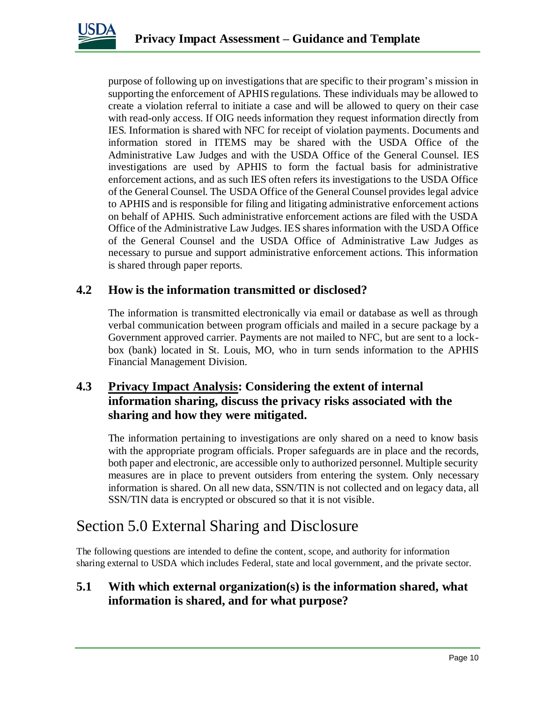

purpose of following up on investigations that are specific to their program's mission in supporting the enforcement of APHIS regulations. These individuals may be allowed to create a violation referral to initiate a case and will be allowed to query on their case with read-only access. If OIG needs information they request information directly from IES. Information is shared with NFC for receipt of violation payments. Documents and information stored in ITEMS may be shared with the USDA Office of the Administrative Law Judges and with the USDA Office of the General Counsel. IES investigations are used by APHIS to form the factual basis for administrative enforcement actions, and as such IES often refers its investigations to the USDA Office of the General Counsel. The USDA Office of the General Counsel provides legal advice to APHIS and is responsible for filing and litigating administrative enforcement actions on behalf of APHIS. Such administrative enforcement actions are filed with the USDA Office of the Administrative Law Judges. IES shares information with the USDA Office of the General Counsel and the USDA Office of Administrative Law Judges as necessary to pursue and support administrative enforcement actions. This information is shared through paper reports.

#### **4.2 How is the information transmitted or disclosed?**

The information is transmitted electronically via email or database as well as through verbal communication between program officials and mailed in a secure package by a Government approved carrier. Payments are not mailed to NFC, but are sent to a lockbox (bank) located in St. Louis, MO, who in turn sends information to the APHIS Financial Management Division.

### **4.3 Privacy Impact Analysis: Considering the extent of internal information sharing, discuss the privacy risks associated with the sharing and how they were mitigated.**

The information pertaining to investigations are only shared on a need to know basis with the appropriate program officials. Proper safeguards are in place and the records, both paper and electronic, are accessible only to authorized personnel. Multiple security measures are in place to prevent outsiders from entering the system. Only necessary information is shared. On all new data, SSN/TIN is not collected and on legacy data, all SSN/TIN data is encrypted or obscured so that it is not visible.

### Section 5.0 External Sharing and Disclosure

The following questions are intended to define the content, scope, and authority for information sharing external to USDA which includes Federal, state and local government, and the private sector.

### **5.1 With which external organization(s) is the information shared, what information is shared, and for what purpose?**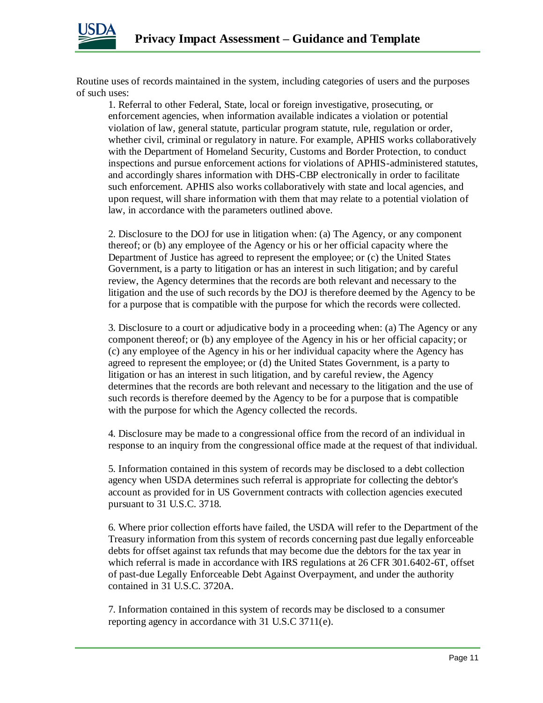

Routine uses of records maintained in the system, including categories of users and the purposes of such uses:

1. Referral to other Federal, State, local or foreign investigative, prosecuting, or enforcement agencies, when information available indicates a violation or potential violation of law, general statute, particular program statute, rule, regulation or order, whether civil, criminal or regulatory in nature. For example, APHIS works collaboratively with the Department of Homeland Security, Customs and Border Protection, to conduct inspections and pursue enforcement actions for violations of APHIS-administered statutes, and accordingly shares information with DHS-CBP electronically in order to facilitate such enforcement. APHIS also works collaboratively with state and local agencies, and upon request, will share information with them that may relate to a potential violation of law, in accordance with the parameters outlined above.

2. Disclosure to the DOJ for use in litigation when: (a) The Agency, or any component thereof; or (b) any employee of the Agency or his or her official capacity where the Department of Justice has agreed to represent the employee; or (c) the United States Government, is a party to litigation or has an interest in such litigation; and by careful review, the Agency determines that the records are both relevant and necessary to the litigation and the use of such records by the DOJ is therefore deemed by the Agency to be for a purpose that is compatible with the purpose for which the records were collected.

3. Disclosure to a court or adjudicative body in a proceeding when: (a) The Agency or any component thereof; or (b) any employee of the Agency in his or her official capacity; or (c) any employee of the Agency in his or her individual capacity where the Agency has agreed to represent the employee; or (d) the United States Government, is a party to litigation or has an interest in such litigation, and by careful review, the Agency determines that the records are both relevant and necessary to the litigation and the use of such records is therefore deemed by the Agency to be for a purpose that is compatible with the purpose for which the Agency collected the records.

4. Disclosure may be made to a congressional office from the record of an individual in response to an inquiry from the congressional office made at the request of that individual.

5. Information contained in this system of records may be disclosed to a debt collection agency when USDA determines such referral is appropriate for collecting the debtor's account as provided for in US Government contracts with collection agencies executed pursuant to 31 U.S.C. 3718.

6. Where prior collection efforts have failed, the USDA will refer to the Department of the Treasury information from this system of records concerning past due legally enforceable debts for offset against tax refunds that may become due the debtors for the tax year in which referral is made in accordance with IRS regulations at 26 CFR 301.6402-6T, offset of past-due Legally Enforceable Debt Against Overpayment, and under the authority contained in 31 U.S.C. 3720A.

7. Information contained in this system of records may be disclosed to a consumer reporting agency in accordance with 31 U.S.C 3711(e).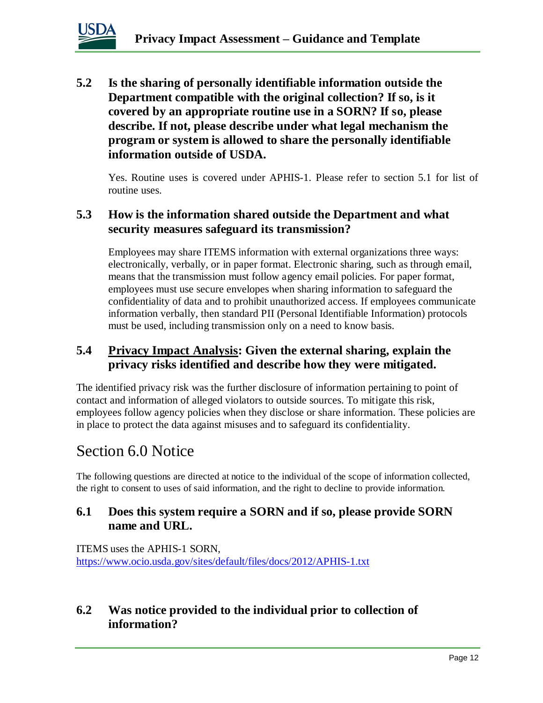

**5.2 Is the sharing of personally identifiable information outside the Department compatible with the original collection? If so, is it covered by an appropriate routine use in a SORN? If so, please describe. If not, please describe under what legal mechanism the program or system is allowed to share the personally identifiable information outside of USDA.** 

Yes. Routine uses is covered under APHIS-1. Please refer to section 5.1 for list of routine uses.

### **5.3 How is the information shared outside the Department and what security measures safeguard its transmission?**

Employees may share ITEMS information with external organizations three ways: electronically, verbally, or in paper format. Electronic sharing, such as through email, means that the transmission must follow agency email policies. For paper format, employees must use secure envelopes when sharing information to safeguard the confidentiality of data and to prohibit unauthorized access. If employees communicate information verbally, then standard PII (Personal Identifiable Information) protocols must be used, including transmission only on a need to know basis.

### **5.4 Privacy Impact Analysis: Given the external sharing, explain the privacy risks identified and describe how they were mitigated.**

The identified privacy risk was the further disclosure of information pertaining to point of contact and information of alleged violators to outside sources. To mitigate this risk, employees follow agency policies when they disclose or share information. These policies are in place to protect the data against misuses and to safeguard its confidentiality.

### Section 6.0 Notice

The following questions are directed at notice to the individual of the scope of information collected, the right to consent to uses of said information, and the right to decline to provide information.

### **6.1 Does this system require a SORN and if so, please provide SORN name and URL.**

ITEMS uses the APHIS-1 SORN, <https://www.ocio.usda.gov/sites/default/files/docs/2012/APHIS-1.txt>

### **6.2 Was notice provided to the individual prior to collection of information?**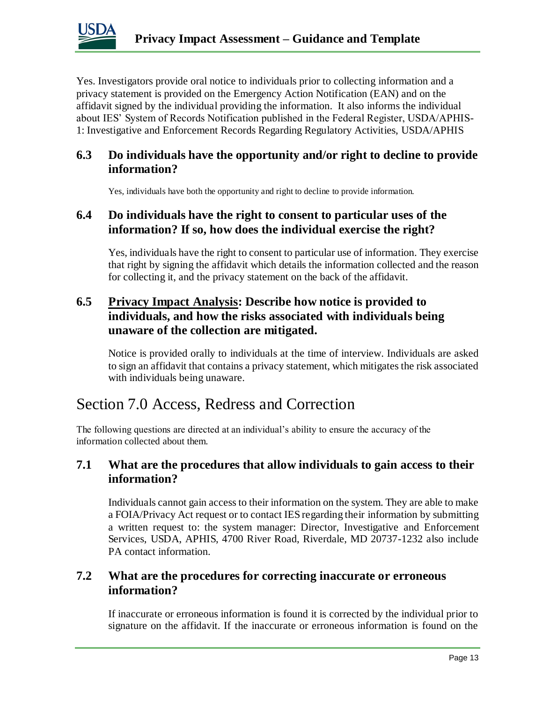

Yes. Investigators provide oral notice to individuals prior to collecting information and a privacy statement is provided on the Emergency Action Notification (EAN) and on the affidavit signed by the individual providing the information. It also informs the individual about IES' System of Records Notification published in the Federal Register, USDA/APHIS-1: Investigative and Enforcement Records Regarding Regulatory Activities, USDA/APHIS

### **6.3 Do individuals have the opportunity and/or right to decline to provide information?**

Yes, individuals have both the opportunity and right to decline to provide information.

### **6.4 Do individuals have the right to consent to particular uses of the information? If so, how does the individual exercise the right?**

Yes, individuals have the right to consent to particular use of information. They exercise that right by signing the affidavit which details the information collected and the reason for collecting it, and the privacy statement on the back of the affidavit.

### **6.5 Privacy Impact Analysis: Describe how notice is provided to individuals, and how the risks associated with individuals being unaware of the collection are mitigated.**

Notice is provided orally to individuals at the time of interview. Individuals are asked to sign an affidavit that contains a privacy statement, which mitigates the risk associated with individuals being unaware.

### Section 7.0 Access, Redress and Correction

The following questions are directed at an individual's ability to ensure the accuracy of the information collected about them.

### **7.1 What are the procedures that allow individuals to gain access to their information?**

Individuals cannot gain access to their information on the system. They are able to make a FOIA/Privacy Act request or to contact IES regarding their information by submitting a written request to: the system manager: Director, Investigative and Enforcement Services, USDA, APHIS, 4700 River Road, Riverdale, MD 20737-1232 also include PA contact information.

### **7.2 What are the procedures for correcting inaccurate or erroneous information?**

If inaccurate or erroneous information is found it is corrected by the individual prior to signature on the affidavit. If the inaccurate or erroneous information is found on the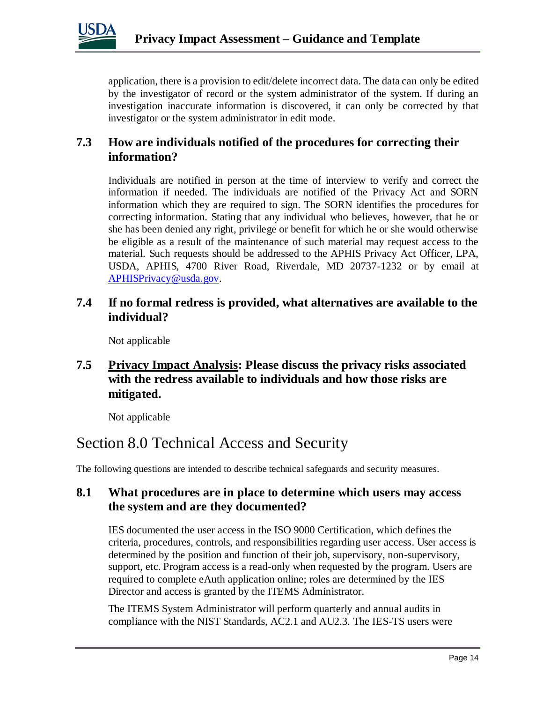

application, there is a provision to edit/delete incorrect data. The data can only be edited by the investigator of record or the system administrator of the system. If during an investigation inaccurate information is discovered, it can only be corrected by that investigator or the system administrator in edit mode.

### **7.3 How are individuals notified of the procedures for correcting their information?**

Individuals are notified in person at the time of interview to verify and correct the information if needed. The individuals are notified of the Privacy Act and SORN information which they are required to sign. The SORN identifies the procedures for correcting information. Stating that any individual who believes, however, that he or she has been denied any right, privilege or benefit for which he or she would otherwise be eligible as a result of the maintenance of such material may request access to the material. Such requests should be addressed to the APHIS Privacy Act Officer, LPA, USDA, APHIS, 4700 River Road, Riverdale, MD 20737-1232 or by email at [APHISPrivacy@usda.gov.](mailto:APHISPrivacy@usda.gov)

#### **7.4 If no formal redress is provided, what alternatives are available to the individual?**

Not applicable

### **7.5 Privacy Impact Analysis: Please discuss the privacy risks associated with the redress available to individuals and how those risks are mitigated.**

Not applicable

### Section 8.0 Technical Access and Security

The following questions are intended to describe technical safeguards and security measures.

### **8.1 What procedures are in place to determine which users may access the system and are they documented?**

IES documented the user access in the ISO 9000 Certification, which defines the criteria, procedures, controls, and responsibilities regarding user access. User access is determined by the position and function of their job, supervisory, non-supervisory, support, etc. Program access is a read-only when requested by the program. Users are required to complete eAuth application online; roles are determined by the IES Director and access is granted by the ITEMS Administrator.

The ITEMS System Administrator will perform quarterly and annual audits in compliance with the NIST Standards, AC2.1 and AU2.3. The IES-TS users were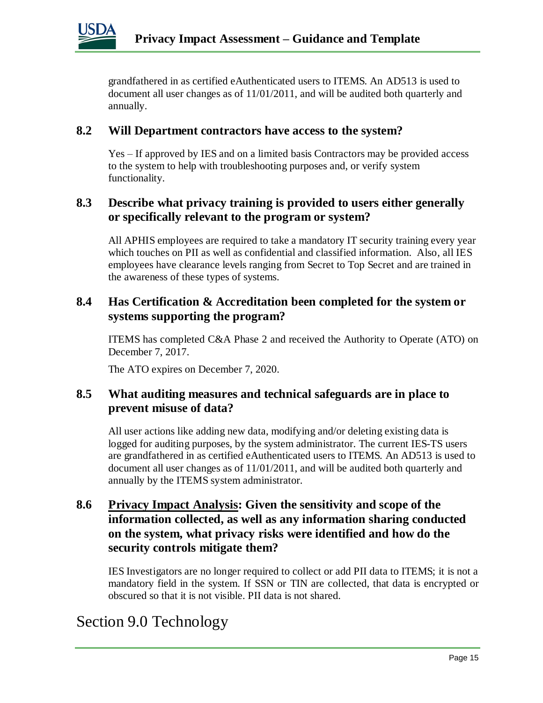

grandfathered in as certified eAuthenticated users to ITEMS. An AD513 is used to document all user changes as of 11/01/2011, and will be audited both quarterly and annually.

### **8.2 Will Department contractors have access to the system?**

Yes – If approved by IES and on a limited basis Contractors may be provided access to the system to help with troubleshooting purposes and, or verify system functionality.

#### **8.3 Describe what privacy training is provided to users either generally or specifically relevant to the program or system?**

All APHIS employees are required to take a mandatory IT security training every year which touches on PII as well as confidential and classified information. Also, all IES employees have clearance levels ranging from Secret to Top Secret and are trained in the awareness of these types of systems.

### **8.4 Has Certification & Accreditation been completed for the system or systems supporting the program?**

ITEMS has completed C&A Phase 2 and received the Authority to Operate (ATO) on December 7, 2017.

The ATO expires on December 7, 2020.

#### **8.5 What auditing measures and technical safeguards are in place to prevent misuse of data?**

All user actions like adding new data, modifying and/or deleting existing data is logged for auditing purposes, by the system administrator. The current IES-TS users are grandfathered in as certified eAuthenticated users to ITEMS. An AD513 is used to document all user changes as of 11/01/2011, and will be audited both quarterly and annually by the ITEMS system administrator.

### **8.6 Privacy Impact Analysis: Given the sensitivity and scope of the information collected, as well as any information sharing conducted on the system, what privacy risks were identified and how do the security controls mitigate them?**

IES Investigators are no longer required to collect or add PII data to ITEMS; it is not a mandatory field in the system. If SSN or TIN are collected, that data is encrypted or obscured so that it is not visible. PII data is not shared.

### Section 9.0 Technology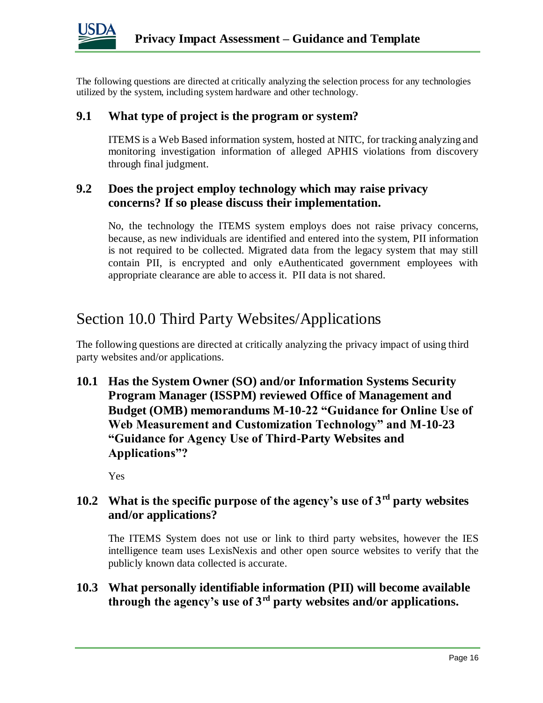

The following questions are directed at critically analyzing the selection process for any technologies utilized by the system, including system hardware and other technology.

#### **9.1 What type of project is the program or system?**

ITEMS is a Web Based information system, hosted at NITC, for tracking analyzing and monitoring investigation information of alleged APHIS violations from discovery through final judgment.

### **9.2 Does the project employ technology which may raise privacy concerns? If so please discuss their implementation.**

No, the technology the ITEMS system employs does not raise privacy concerns, because, as new individuals are identified and entered into the system, PII information is not required to be collected. Migrated data from the legacy system that may still contain PII, is encrypted and only eAuthenticated government employees with appropriate clearance are able to access it. PII data is not shared.

### Section 10.0 Third Party Websites/Applications

The following questions are directed at critically analyzing the privacy impact of using third party websites and/or applications.

**10.1 Has the System Owner (SO) and/or Information Systems Security Program Manager (ISSPM) reviewed Office of Management and Budget (OMB) memorandums M-10-22 "Guidance for Online Use of Web Measurement and Customization Technology" and M-10-23 "Guidance for Agency Use of Third-Party Websites and Applications"?**

Yes

### **10.2 What is the specific purpose of the agency's use of 3rd party websites and/or applications?**

The ITEMS System does not use or link to third party websites, however the IES intelligence team uses LexisNexis and other open source websites to verify that the publicly known data collected is accurate.

### **10.3 What personally identifiable information (PII) will become available through the agency's use of 3rd party websites and/or applications.**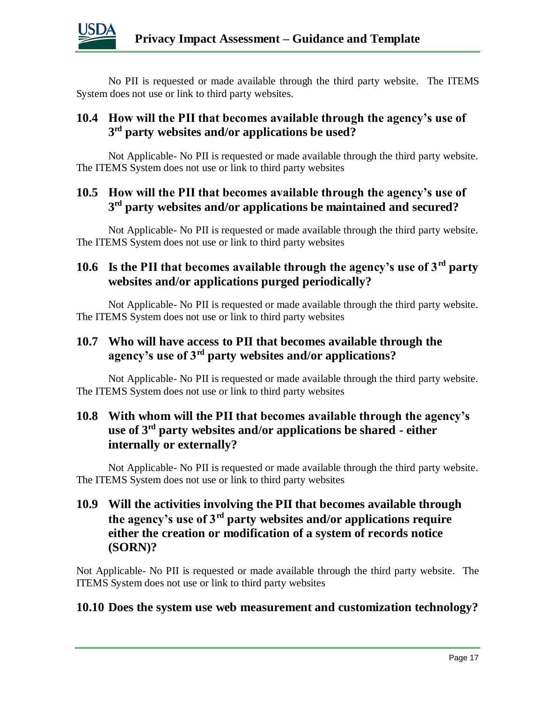

No PII is requested or made available through the third party website. The ITEMS System does not use or link to third party websites.

### **10.4 How will the PII that becomes available through the agency's use of 3 rd party websites and/or applications be used?**

Not Applicable- No PII is requested or made available through the third party website. The ITEMS System does not use or link to third party websites

### **10.5 How will the PII that becomes available through the agency's use of 3 rd party websites and/or applications be maintained and secured?**

Not Applicable- No PII is requested or made available through the third party website. The ITEMS System does not use or link to third party websites

### **10.6 Is the PII that becomes available through the agency's use of 3rd party websites and/or applications purged periodically?**

Not Applicable- No PII is requested or made available through the third party website. The ITEMS System does not use or link to third party websites

### **10.7 Who will have access to PII that becomes available through the agency's use of 3rd party websites and/or applications?**

Not Applicable- No PII is requested or made available through the third party website. The ITEMS System does not use or link to third party websites

### **10.8 With whom will the PII that becomes available through the agency's use of 3rd party websites and/or applications be shared - either internally or externally?**

Not Applicable- No PII is requested or made available through the third party website. The ITEMS System does not use or link to third party websites

### **10.9 Will the activities involving the PII that becomes available through the agency's use of 3rd party websites and/or applications require either the creation or modification of a system of records notice (SORN)?**

Not Applicable- No PII is requested or made available through the third party website. The ITEMS System does not use or link to third party websites

### **10.10 Does the system use web measurement and customization technology?**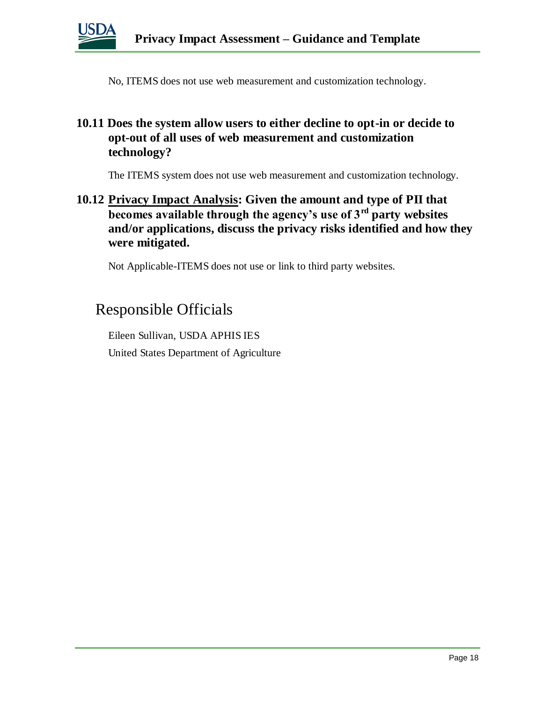

No, ITEMS does not use web measurement and customization technology.

### **10.11 Does the system allow users to either decline to opt-in or decide to opt-out of all uses of web measurement and customization technology?**

The ITEMS system does not use web measurement and customization technology.

### **10.12 Privacy Impact Analysis: Given the amount and type of PII that becomes available through the agency's use of 3rd party websites and/or applications, discuss the privacy risks identified and how they were mitigated.**

Not Applicable-ITEMS does not use or link to third party websites.

### Responsible Officials

Eileen Sullivan, USDA APHIS IES United States Department of Agriculture